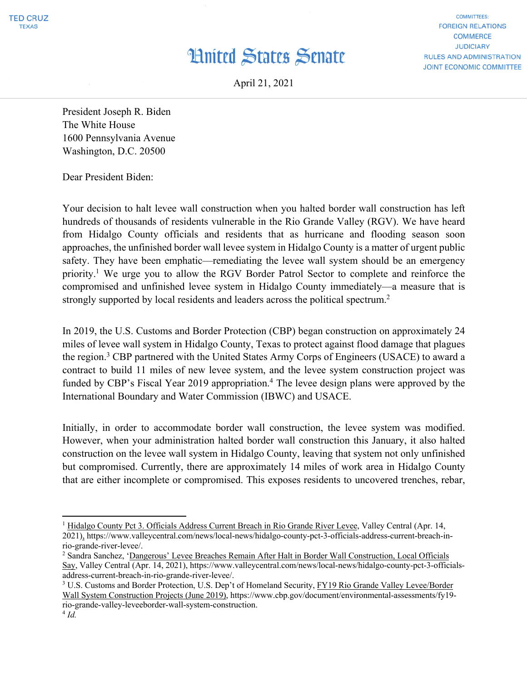## **Hnited States Senate**

**COMMITTEES: FOREIGN RELATIONS COMMERCE JUDICIARY RULES AND ADMINISTRATION JOINT ECONOMIC COMMITTEE** 

April 21, 2021

President Joseph R. Biden The White House 1600 Pennsylvania Avenue Washington, D.C. 20500

Dear President Biden:

Your decision to halt levee wall construction when you halted border wall construction has left hundreds of thousands of residents vulnerable in the Rio Grande Valley (RGV). We have heard from Hidalgo County officials and residents that as hurricane and flooding season soon approaches, the unfinished border wall levee system in Hidalgo County is a matter of urgent public safety. They have been emphatic—remediating the levee wall system should be an emergency priority.1 We urge you to allow the RGV Border Patrol Sector to complete and reinforce the compromised and unfinished levee system in Hidalgo County immediately—a measure that is strongly supported by local residents and leaders across the political spectrum.<sup>2</sup>

In 2019, the U.S. Customs and Border Protection (CBP) began construction on approximately 24 miles of levee wall system in Hidalgo County, Texas to protect against flood damage that plagues the region.<sup>3</sup> CBP partnered with the United States Army Corps of Engineers (USACE) to award a contract to build 11 miles of new levee system, and the levee system construction project was funded by CBP's Fiscal Year 2019 appropriation.<sup>4</sup> The levee design plans were approved by the International Boundary and Water Commission (IBWC) and USACE.

Initially, in order to accommodate border wall construction, the levee system was modified. However, when your administration halted border wall construction this January, it also halted construction on the levee wall system in Hidalgo County, leaving that system not only unfinished but compromised. Currently, there are approximately 14 miles of work area in Hidalgo County that are either incomplete or compromised. This exposes residents to uncovered trenches, rebar,

<sup>&</sup>lt;sup>1</sup> Hidalgo County Pct 3. Officials Address Current Breach in Rio Grande River Levee, Valley Central (Apr. 14, 2021), https://www.valleycentral.com/news/local-news/hidalgo-county-pct-3-officials-address-current-breach-in-

rio-grande-river-levee/.

<sup>2</sup> Sandra Sanchez, 'Dangerous' Levee Breaches Remain After Halt in Border Wall Construction, Local Officials Say, Valley Central (Apr. 14, 2021), https://www.valleycentral.com/news/local-news/hidalgo-county-pct-3-officialsaddress-current-breach-in-rio-grande-river-levee/.

<sup>3</sup> U.S. Customs and Border Protection, U.S. Dep't of Homeland Security, FY19 Rio Grande Valley Levee/Border Wall System Construction Projects (June 2019), https://www.cbp.gov/document/environmental-assessments/fy19 rio-grande-valley-leveeborder-wall-system-construction.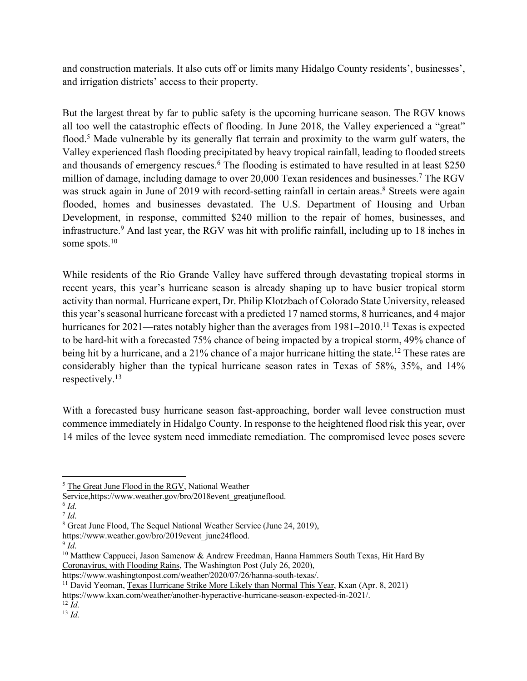and construction materials. It also cuts off or limits many Hidalgo County residents', businesses', and irrigation districts' access to their property.

But the largest threat by far to public safety is the upcoming hurricane season. The RGV knows all too well the catastrophic effects of flooding. In June 2018, the Valley experienced a "great" flood.<sup>5</sup> Made vulnerable by its generally flat terrain and proximity to the warm gulf waters, the Valley experienced flash flooding precipitated by heavy tropical rainfall, leading to flooded streets and thousands of emergency rescues.<sup>6</sup> The flooding is estimated to have resulted in at least \$250 million of damage, including damage to over 20,000 Texan residences and businesses.<sup>7</sup> The RGV was struck again in June of 2019 with record-setting rainfall in certain areas.<sup>8</sup> Streets were again flooded, homes and businesses devastated. The U.S. Department of Housing and Urban Development, in response, committed \$240 million to the repair of homes, businesses, and infrastructure.9 And last year, the RGV was hit with prolific rainfall, including up to 18 inches in some spots.<sup>10</sup>

While residents of the Rio Grande Valley have suffered through devastating tropical storms in recent years, this year's hurricane season is already shaping up to have busier tropical storm activity than normal. Hurricane expert, Dr. Philip Klotzbach of Colorado State University, released this year's seasonal hurricane forecast with a predicted 17 named storms, 8 hurricanes, and 4 major hurricanes for 2021—rates notably higher than the averages from 1981–2010.<sup>11</sup> Texas is expected to be hard-hit with a forecasted 75% chance of being impacted by a tropical storm, 49% chance of being hit by a hurricane, and a 21% chance of a major hurricane hitting the state.<sup>12</sup> These rates are considerably higher than the typical hurricane season rates in Texas of 58%, 35%, and 14% respectively. 13

With a forecasted busy hurricane season fast-approaching, border wall levee construction must commence immediately in Hidalgo County. In response to the heightened flood risk this year, over 14 miles of the levee system need immediate remediation. The compromised levee poses severe

https://www.kxan.com/weather/another-hyperactive-hurricane-season-expected-in-2021/. 12 *Id.*

<sup>13</sup> *Id.*

<sup>5</sup> The Great June Flood in the RGV, National Weather

Service,https://www.weather.gov/bro/2018event\_greatjuneflood.<br><sup>6</sup> *Id*. <sup>7</sup> *Id*.

<sup>&</sup>lt;sup>8</sup> Great June Flood, The Sequel National Weather Service (June 24, 2019),

https://www.weather.gov/bro/2019event\_june24flood.<br><sup>9</sup> *Id*. 10 Matthew Cappucci, Jason Samenow & Andrew Freedman, Hanna Hammers South Texas, Hit Hard By Coronavirus, with Flooding Rains, The Washington Post (July 26, 2020),

https://www.washingtonpost.com/weather/2020/07/26/hanna-south-texas/.

<sup>&</sup>lt;sup>11</sup> David Yeoman, Texas Hurricane Strike More Likely than Normal This Year, Kxan (Apr. 8, 2021)